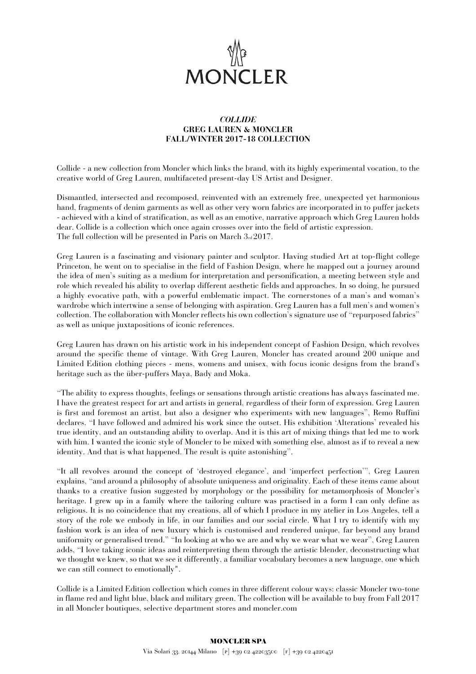

## *COLLIDE*  **GREG LAUREN & MONCLER FALL/WINTER 2017-18 COLLECTION**

Collide - a new collection from Moncler which links the brand, with its highly experimental vocation, to the creative world of Greg Lauren, multifaceted present-day US Artist and Designer.

Dismantled, intersected and recomposed, reinvented with an extremely free, unexpected yet harmonious hand, fragments of denim garments as well as other very worn fabrics are incorporated in to puffer jackets - achieved with a kind of stratification, as well as an emotive, narrative approach which Greg Lauren holds dear. Collide is a collection which once again crosses over into the field of artistic expression. The full collection will be presented in Paris on March 3rd 2017.

Greg Lauren is a fascinating and visionary painter and sculptor. Having studied Art at top-flight college Princeton, he went on to specialise in the field of Fashion Design, where he mapped out a journey around the idea of men's suiting as a medium for interpretation and personification, a meeting between style and role which revealed his ability to overlap different aesthetic fields and approaches. In so doing, he pursued a highly evocative path, with a powerful emblematic impact. The cornerstones of a man's and woman's wardrobe which intertwine a sense of belonging with aspiration. Greg Lauren has a full men's and women's collection. The collaboration with Moncler reflects his own collection's signature use of ''repurposed fabrics'' as well as unique juxtapositions of iconic references.

Greg Lauren has drawn on his artistic work in his independent concept of Fashion Design, which revolves around the specific theme of vintage. With Greg Lauren, Moncler has created around 200 unique and Limited Edition clothing pieces - mens, womens and unisex, with focus iconic designs from the brand's heritage such as the über-puffers Maya, Bady and Moka.

''The ability to express thoughts, feelings or sensations through artistic creations has always fascinated me. I have the greatest respect for art and artists in general, regardless of their form of expression. Greg Lauren is first and foremost an artist, but also a designer who experiments with new languages'', Remo Ruffini declares. ''I have followed and admired his work since the outset. His exhibition 'Alterations' revealed his true identity, and an outstanding ability to overlap. And it is this art of mixing things that led me to work with him. I wanted the iconic style of Moncler to be mixed with something else, almost as if to reveal a new identity. And that is what happened. The result is quite astonishing''.

''It all revolves around the concept of 'destroyed elegance', and 'imperfect perfection''', Greg Lauren explains, ''and around a philosophy of absolute uniqueness and originality. Each of these items came about thanks to a creative fusion suggested by morphology or the possibility for metamorphosis of Moncler's heritage. I grew up in a family where the tailoring culture was practised in a form I can only define as religious. It is no coincidence that my creations, all of which I produce in my atelier in Los Angeles, tell a story of the role we embody in life, in our families and our social circle. What I try to identify with my fashion work is an idea of new luxury which is customised and rendered unique, far beyond any brand uniformity or generalised trend.'' ''In looking at who we are and why we wear what we wear'', Greg Lauren adds, ''I love taking iconic ideas and reinterpreting them through the artistic blender, deconstructing what we thought we knew, so that we see it differently, a familiar vocabulary becomes a new language, one which we can still connect to emotionally".

Collide is a Limited Edition collection which comes in three different colour ways: classic Moncler two-tone in flame red and light blue, black and military green. The collection will be available to buy from Fall 2017 in all Moncler boutiques, selective department stores and moncler.com